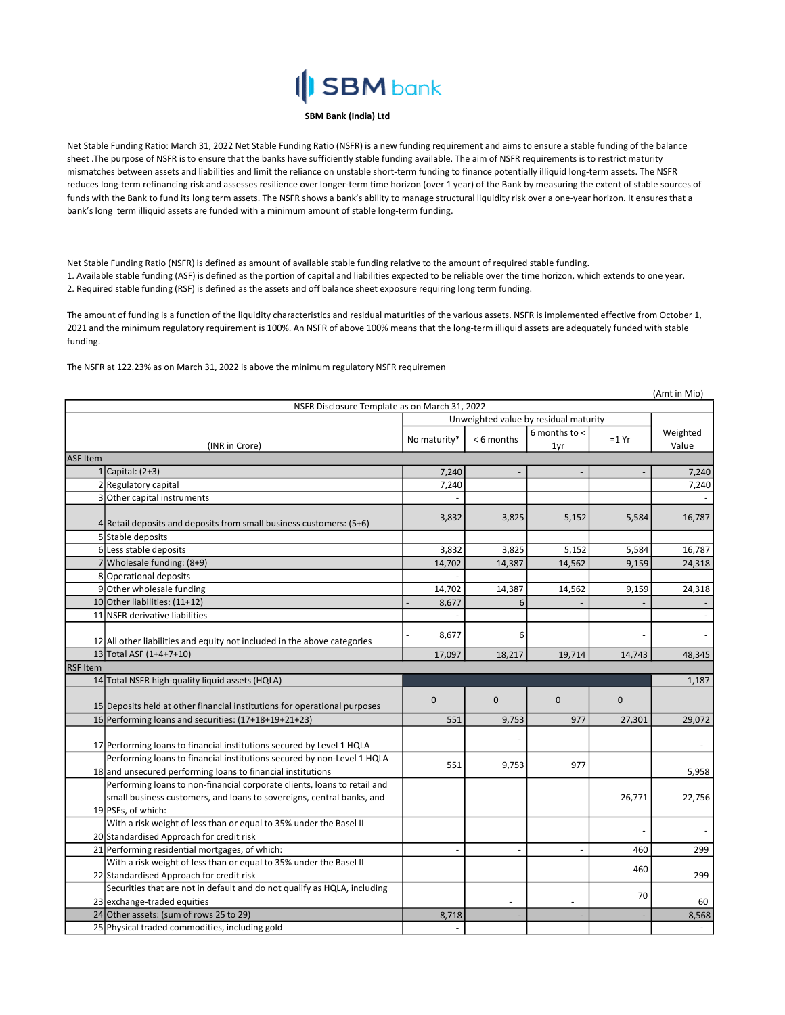## **SBM** bank

## SBM Bank (India) Ltd

Net Stable Funding Ratio: March 31, 2022 Net Stable Funding Ratio (NSFR) is a new funding requirement and aims to ensure a stable funding of the balance sheet .The purpose of NSFR is to ensure that the banks have sufficiently stable funding available. The aim of NSFR requirements is to restrict maturity mismatches between assets and liabilities and limit the reliance on unstable short-term funding to finance potentially illiquid long-term assets. The NSFR reduces long-term refinancing risk and assesses resilience over longer-term time horizon (over 1 year) of the Bank by measuring the extent of stable sources of funds with the Bank to fund its long term assets. The NSFR shows a bank's ability to manage structural liquidity risk over a one-year horizon. It ensures that a bank's long term illiquid assets are funded with a minimum amount of stable long-term funding.

Net Stable Funding Ratio (NSFR) is defined as amount of available stable funding relative to the amount of required stable funding. 1. Available stable funding (ASF) is defined as the portion of capital and liabilities expected to be reliable over the time horizon, which extends to one year. 2. Required stable funding (RSF) is defined as the assets and off balance sheet exposure requiring long term funding.

The amount of funding is a function of the liquidity characteristics and residual maturities of the various assets. NSFR is implemented effective from October 1, 2021 and the minimum regulatory requirement is 100%. An NSFR of above 100% means that the long-term illiquid assets are adequately funded with stable funding.

The NSFR at 122.23% as on March 31, 2022 is above the minimum regulatory NSFR requiremen

|                 |                                                                                           |                                       |                |                 |              | (Amt in Mio)   |
|-----------------|-------------------------------------------------------------------------------------------|---------------------------------------|----------------|-----------------|--------------|----------------|
|                 | NSFR Disclosure Template as on March 31, 2022                                             |                                       |                |                 |              |                |
|                 |                                                                                           | Unweighted value by residual maturity |                |                 |              |                |
|                 |                                                                                           | No maturity*                          | < 6 months     | 6 months to $<$ | $=1 Yr$      | Weighted       |
| ASF Item        | (INR in Crore)                                                                            |                                       |                | 1yr             |              | Value          |
|                 | $1$ Capital: (2+3)                                                                        | 7,240                                 |                |                 |              |                |
|                 | 2 Regulatory capital                                                                      | 7,240                                 |                |                 |              | 7,240<br>7,240 |
|                 | 3 Other capital instruments                                                               |                                       |                |                 |              |                |
|                 |                                                                                           |                                       |                |                 |              |                |
|                 | 4 Retail deposits and deposits from small business customers: (5+6)                       | 3,832                                 | 3,825          | 5,152           | 5,584        | 16,787         |
|                 | 5 Stable deposits                                                                         |                                       |                |                 |              |                |
|                 | 6 Less stable deposits                                                                    | 3,832                                 | 3,825          | 5,152           | 5,584        | 16,787         |
|                 | 7 Wholesale funding: $(8+9)$                                                              | 14,702                                | 14,387         | 14,562          | 9,159        | 24,318         |
|                 | 8 Operational deposits                                                                    |                                       |                |                 |              |                |
|                 | 9 Other wholesale funding                                                                 | 14,702                                | 14,387         | 14,562          | 9,159        | 24,318         |
|                 | 10 Other liabilities: (11+12)                                                             | 8,677                                 | 6              |                 |              |                |
|                 | 11 NSFR derivative liabilities                                                            |                                       |                |                 |              |                |
|                 | 12 All other liabilities and equity not included in the above categories                  | 8,677                                 | 6              |                 |              |                |
|                 | 13 Total ASF (1+4+7+10)                                                                   | 17,097                                | 18,217         | 19,714          | 14,743       | 48,345         |
| <b>RSF</b> Item |                                                                                           |                                       |                |                 |              |                |
|                 | 14 Total NSFR high-quality liquid assets (HQLA)                                           |                                       |                |                 |              | 1,187          |
|                 | 15 Deposits held at other financial institutions for operational purposes                 | $\pmb{0}$                             | $\mathbf{0}$   | $\mathbf{0}$    | $\mathbf{0}$ |                |
|                 | 16 Performing loans and securities: (17+18+19+21+23)                                      | 551                                   | 9,753          | 977             | 27,301       | 29,072         |
|                 |                                                                                           |                                       |                |                 |              |                |
|                 | 17 Performing loans to financial institutions secured by Level 1 HQLA                     |                                       |                |                 |              |                |
|                 | Performing loans to financial institutions secured by non-Level 1 HQLA                    | 551                                   |                | 977             |              |                |
|                 | 18 and unsecured performing loans to financial institutions                               |                                       | 9,753          |                 |              | 5,958          |
|                 | Performing loans to non-financial corporate clients, loans to retail and                  |                                       |                |                 |              |                |
|                 | small business customers, and loans to sovereigns, central banks, and                     |                                       |                |                 | 26,771       | 22,756         |
|                 | 19 PSEs, of which:                                                                        |                                       |                |                 |              |                |
|                 | With a risk weight of less than or equal to 35% under the Basel II                        |                                       |                |                 |              |                |
|                 | 20 Standardised Approach for credit risk                                                  |                                       |                |                 |              |                |
|                 | 21 Performing residential mortgages, of which:                                            |                                       |                | $\overline{a}$  | 460          | 299            |
|                 | With a risk weight of less than or equal to 35% under the Basel II                        |                                       |                |                 | 460          |                |
|                 | 22 Standardised Approach for credit risk                                                  |                                       |                |                 |              | 299            |
|                 |                                                                                           |                                       |                |                 |              |                |
|                 | Securities that are not in default and do not qualify as HQLA, including                  |                                       |                |                 |              |                |
|                 | 23 exchange-traded equities                                                               |                                       | $\overline{a}$ |                 | 70           | 60             |
|                 | 24 Other assets: (sum of rows 25 to 29)<br>25 Physical traded commodities, including gold | 8,718                                 |                |                 |              | 8,568          |